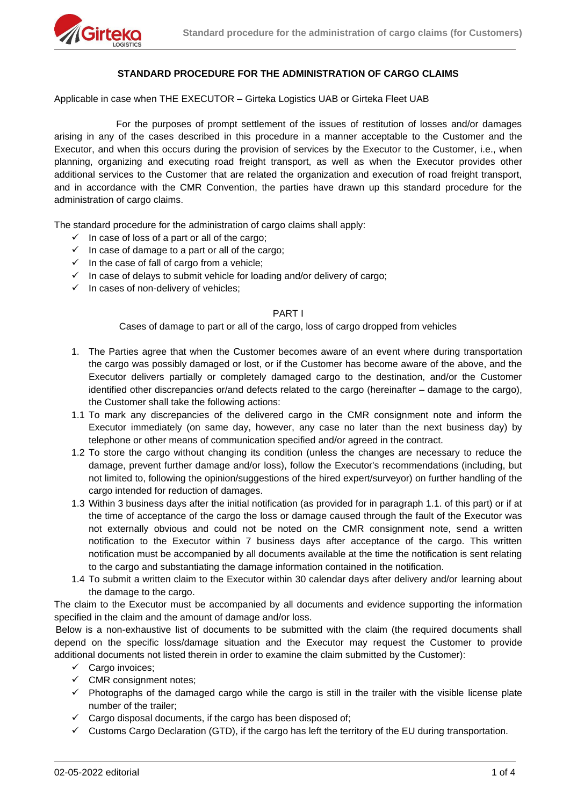

## **STANDARD PROCEDURE FOR THE ADMINISTRATION OF CARGO CLAIMS**

Applicable in case when THE EXECUTOR – Girteka Logistics UAB or Girteka Fleet UAB

For the purposes of prompt settlement of the issues of restitution of losses and/or damages arising in any of the cases described in this procedure in a manner acceptable to the Customer and the Executor, and when this occurs during the provision of services by the Executor to the Customer, i.e., when planning, organizing and executing road freight transport, as well as when the Executor provides other additional services to the Customer that are related the organization and execution of road freight transport, and in accordance with the CMR Convention, the parties have drawn up this standard procedure for the administration of cargo claims.

The standard procedure for the administration of cargo claims shall apply:

- $\checkmark$  In case of loss of a part or all of the cargo;
- $\checkmark$  In case of damage to a part or all of the cargo;
- $\checkmark$  In the case of fall of cargo from a vehicle;
- $\checkmark$  In case of delays to submit vehicle for loading and/or delivery of cargo;
- $\checkmark$  In cases of non-delivery of vehicles;

#### PART I

Cases of damage to part or all of the cargo, loss of cargo dropped from vehicles

- 1. The Parties agree that when the Customer becomes aware of an event where during transportation the cargo was possibly damaged or lost, or if the Customer has become aware of the above, and the Executor delivers partially or completely damaged cargo to the destination, and/or the Customer identified other discrepancies or/and defects related to the cargo (hereinafter – damage to the cargo), the Customer shall take the following actions:
- 1.1 To mark any discrepancies of the delivered cargo in the CMR consignment note and inform the Executor immediately (on same day, however, any case no later than the next business day) by telephone or other means of communication specified and/or agreed in the contract.
- 1.2 To store the cargo without changing its condition (unless the changes are necessary to reduce the damage, prevent further damage and/or loss), follow the Executor's recommendations (including, but not limited to, following the opinion/suggestions of the hired expert/surveyor) on further handling of the cargo intended for reduction of damages.
- 1.3 Within 3 business days after the initial notification (as provided for in paragraph 1.1. of this part) or if at the time of acceptance of the cargo the loss or damage caused through the fault of the Executor was not externally obvious and could not be noted on the CMR consignment note, send a written notification to the Executor within 7 business days after acceptance of the cargo. This written notification must be accompanied by all documents available at the time the notification is sent relating to the cargo and substantiating the damage information contained in the notification.
- 1.4 To submit a written claim to the Executor within 30 calendar days after delivery and/or learning about the damage to the cargo.

The claim to the Executor must be accompanied by all documents and evidence supporting the information specified in the claim and the amount of damage and/or loss.

Below is a non-exhaustive list of documents to be submitted with the claim (the required documents shall depend on the specific loss/damage situation and the Executor may request the Customer to provide additional documents not listed therein in order to examine the claim submitted by the Customer):

- ✓ Cargo invoices;
- $\checkmark$  CMR consignment notes;
- $\checkmark$  Photographs of the damaged cargo while the cargo is still in the trailer with the visible license plate number of the trailer;
- $\checkmark$  Cargo disposal documents, if the cargo has been disposed of;
- ✓ Customs Cargo Declaration (GTD), if the cargo has left the territory of the EU during transportation.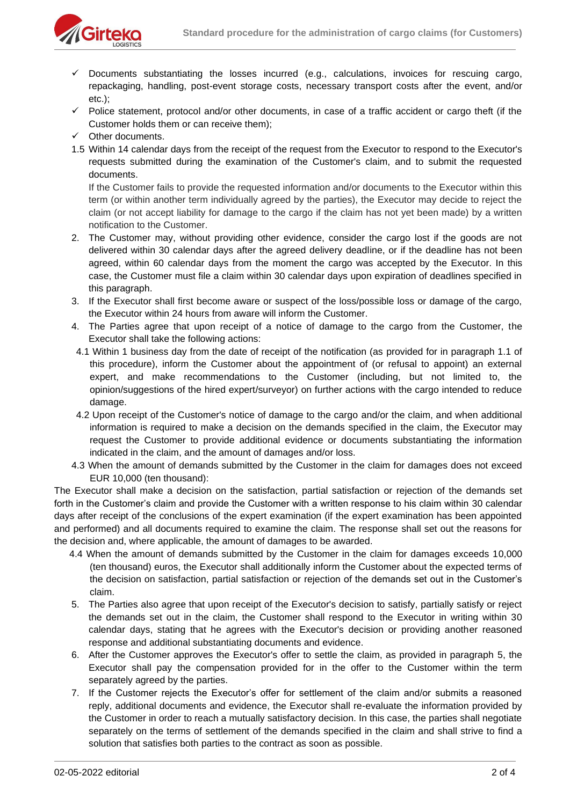

- Documents substantiating the losses incurred (e.g., calculations, invoices for rescuing cargo, repackaging, handling, post-event storage costs, necessary transport costs after the event, and/or etc.);
- ✓ Police statement, protocol and/or other documents, in case of a traffic accident or cargo theft (if the Customer holds them or can receive them);
- ✓ Other documents.
- 1.5 Within 14 calendar days from the receipt of the request from the Executor to respond to the Executor's requests submitted during the examination of the Customer's claim, and to submit the requested documents.

If the Customer fails to provide the requested information and/or documents to the Executor within this term (or within another term individually agreed by the parties), the Executor may decide to reject the claim (or not accept liability for damage to the cargo if the claim has not yet been made) by a written notification to the Customer.

- 2. The Customer may, without providing other evidence, consider the cargo lost if the goods are not delivered within 30 calendar days after the agreed delivery deadline, or if the deadline has not been agreed, within 60 calendar days from the moment the cargo was accepted by the Executor. In this case, the Customer must file a claim within 30 calendar days upon expiration of deadlines specified in this paragraph.
- 3. If the Executor shall first become aware or suspect of the loss/possible loss or damage of the cargo, the Executor within 24 hours from aware will inform the Customer.
- 4. The Parties agree that upon receipt of a notice of damage to the cargo from the Customer, the Executor shall take the following actions:
- 4.1 Within 1 business day from the date of receipt of the notification (as provided for in paragraph 1.1 of this procedure), inform the Customer about the appointment of (or refusal to appoint) an external expert, and make recommendations to the Customer (including, but not limited to, the opinion/suggestions of the hired expert/surveyor) on further actions with the cargo intended to reduce damage.
- 4.2 Upon receipt of the Customer's notice of damage to the cargo and/or the claim, and when additional information is required to make a decision on the demands specified in the claim, the Executor may request the Customer to provide additional evidence or documents substantiating the information indicated in the claim, and the amount of damages and/or loss.
- 4.3 When the amount of demands submitted by the Customer in the claim for damages does not exceed EUR 10,000 (ten thousand):

The Executor shall make a decision on the satisfaction, partial satisfaction or rejection of the demands set forth in the Customer's claim and provide the Customer with a written response to his claim within 30 calendar days after receipt of the conclusions of the expert examination (if the expert examination has been appointed and performed) and all documents required to examine the claim. The response shall set out the reasons for the decision and, where applicable, the amount of damages to be awarded.

- 4.4 When the amount of demands submitted by the Customer in the claim for damages exceeds 10,000 (ten thousand) euros, the Executor shall additionally inform the Customer about the expected terms of the decision on satisfaction, partial satisfaction or rejection of the demands set out in the Customer's claim.
- 5. The Parties also agree that upon receipt of the Executor's decision to satisfy, partially satisfy or reject the demands set out in the claim, the Customer shall respond to the Executor in writing within 30 calendar days, stating that he agrees with the Executor's decision or providing another reasoned response and additional substantiating documents and evidence.
- 6. After the Customer approves the Executor's offer to settle the claim, as provided in paragraph 5, the Executor shall pay the compensation provided for in the offer to the Customer within the term separately agreed by the parties.
- 7. If the Customer rejects the Executor's offer for settlement of the claim and/or submits a reasoned reply, additional documents and evidence, the Executor shall re-evaluate the information provided by the Customer in order to reach a mutually satisfactory decision. In this case, the parties shall negotiate separately on the terms of settlement of the demands specified in the claim and shall strive to find a solution that satisfies both parties to the contract as soon as possible.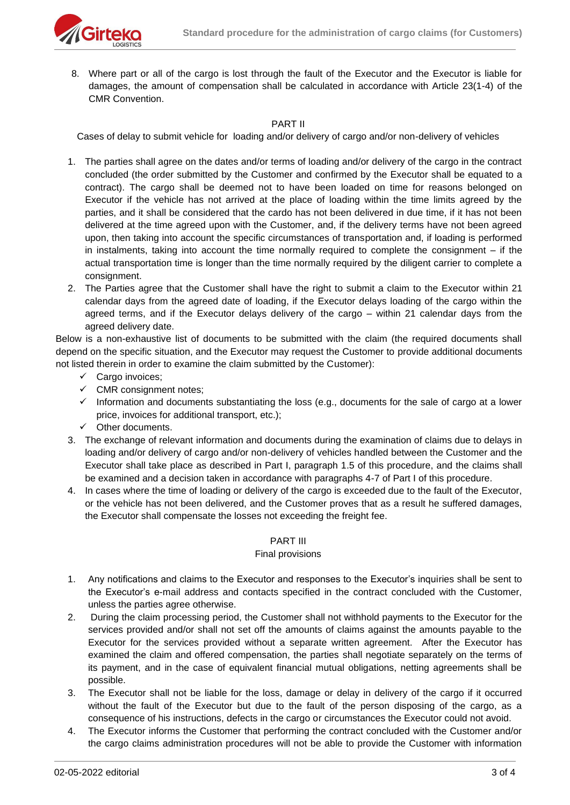

8. Where part or all of the cargo is lost through the fault of the Executor and the Executor is liable for damages, the amount of compensation shall be calculated in accordance with Article 23(1-4) of the CMR Convention.

## PART II

Cases of delay to submit vehicle for loading and/or delivery of cargo and/or non-delivery of vehicles

- 1. The parties shall agree on the dates and/or terms of loading and/or delivery of the cargo in the contract concluded (the order submitted by the Customer and confirmed by the Executor shall be equated to a contract). The cargo shall be deemed not to have been loaded on time for reasons belonged on Executor if the vehicle has not arrived at the place of loading within the time limits agreed by the parties, and it shall be considered that the cardo has not been delivered in due time, if it has not been delivered at the time agreed upon with the Customer, and, if the delivery terms have not been agreed upon, then taking into account the specific circumstances of transportation and, if loading is performed in instalments, taking into account the time normally required to complete the consignment – if the actual transportation time is longer than the time normally required by the diligent carrier to complete a consignment.
- 2. The Parties agree that the Customer shall have the right to submit a claim to the Executor within 21 calendar days from the agreed date of loading, if the Executor delays loading of the cargo within the agreed terms, and if the Executor delays delivery of the cargo – within 21 calendar days from the agreed delivery date.

Below is a non-exhaustive list of documents to be submitted with the claim (the required documents shall depend on the specific situation, and the Executor may request the Customer to provide additional documents not listed therein in order to examine the claim submitted by the Customer):

- ✓ Cargo invoices;
- $\checkmark$  CMR consignment notes;
- ✓ Information and documents substantiating the loss (e.g., documents for the sale of cargo at a lower price, invoices for additional transport, etc.);
- ✓ Other documents.
- 3. The exchange of relevant information and documents during the examination of claims due to delays in loading and/or delivery of cargo and/or non-delivery of vehicles handled between the Customer and the Executor shall take place as described in Part I, paragraph 1.5 of this procedure, and the claims shall be examined and a decision taken in accordance with paragraphs 4-7 of Part I of this procedure.
- 4. In cases where the time of loading or delivery of the cargo is exceeded due to the fault of the Executor, or the vehicle has not been delivered, and the Customer proves that as a result he suffered damages, the Executor shall compensate the losses not exceeding the freight fee.

# PART III

## Final provisions

- 1. Any notifications and claims to the Executor and responses to the Executor's inquiries shall be sent to the Executor's e-mail address and contacts specified in the contract concluded with the Customer, unless the parties agree otherwise.
- 2. During the claim processing period, the Customer shall not withhold payments to the Executor for the services provided and/or shall not set off the amounts of claims against the amounts payable to the Executor for the services provided without a separate written agreement. After the Executor has examined the claim and offered compensation, the parties shall negotiate separately on the terms of its payment, and in the case of equivalent financial mutual obligations, netting agreements shall be possible.
- 3. The Executor shall not be liable for the loss, damage or delay in delivery of the cargo if it occurred without the fault of the Executor but due to the fault of the person disposing of the cargo, as a consequence of his instructions, defects in the cargo or circumstances the Executor could not avoid.
- 4. The Executor informs the Customer that performing the contract concluded with the Customer and/or the cargo claims administration procedures will not be able to provide the Customer with information